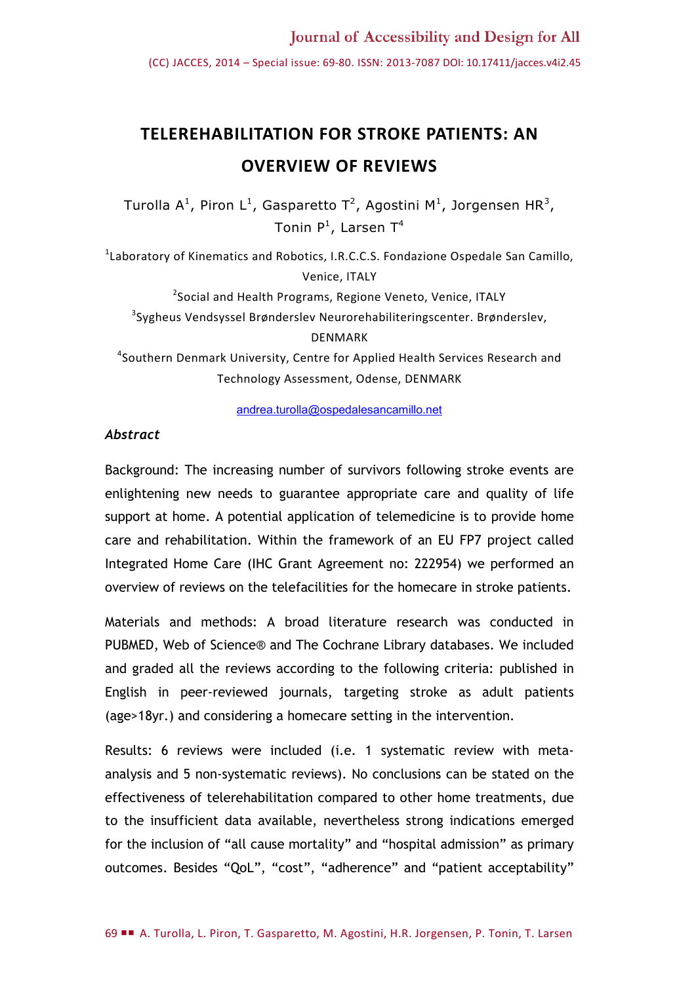(CC) JACCES, 2014 – Special issue: 69-80. ISSN: 2013-7087 DOI: 10.17411/jacces.v4i2.45

# **TELEREHABILITATION FOR STROKE PATIENTS: AN OVERVIEW OF REVIEWS**

Turolla A<sup>1</sup>, Piron L<sup>1</sup>, Gasparetto T<sup>2</sup>, Agostini M<sup>1</sup>, Jorgensen HR<sup>3</sup>, Tonin P $^1$ , Larsen T $^4$ 

<sup>1</sup>Laboratory of Kinematics and Robotics, I.R.C.C.S. Fondazione Ospedale San Camillo, Venice, ITALY

<sup>2</sup>Social and Health Programs, Regione Veneto, Venice, ITALY <sup>3</sup>Sygheus Vendsyssel Brønderslev Neurorehabiliteringscenter. Brønderslev, DENMARK

4 Southern Denmark University, Centre for Applied Health Services Research and Technology Assessment, Odense, DENMARK

[andrea.turolla@ospedalesancamillo.net](mailto:andrea.turolla@ospedalesancamillo.net)

#### *Abstract*

Background: The increasing number of survivors following stroke events are enlightening new needs to guarantee appropriate care and quality of life support at home. A potential application of telemedicine is to provide home care and rehabilitation. Within the framework of an EU FP7 project called Integrated Home Care (IHC Grant Agreement no: 222954) we performed an overview of reviews on the telefacilities for the homecare in stroke patients.

Materials and methods: A broad literature research was conducted in PUBMED, Web of Science® and The Cochrane Library databases. We included and graded all the reviews according to the following criteria: published in English in peer-reviewed journals, targeting stroke as adult patients (age>18yr.) and considering a homecare setting in the intervention.

Results: 6 reviews were included (i.e. 1 systematic review with metaanalysis and 5 non-systematic reviews). No conclusions can be stated on the effectiveness of telerehabilitation compared to other home treatments, due to the insufficient data available, nevertheless strong indications emerged for the inclusion of "all cause mortality" and "hospital admission" as primary outcomes. Besides "QoL", "cost", "adherence" and "patient acceptability"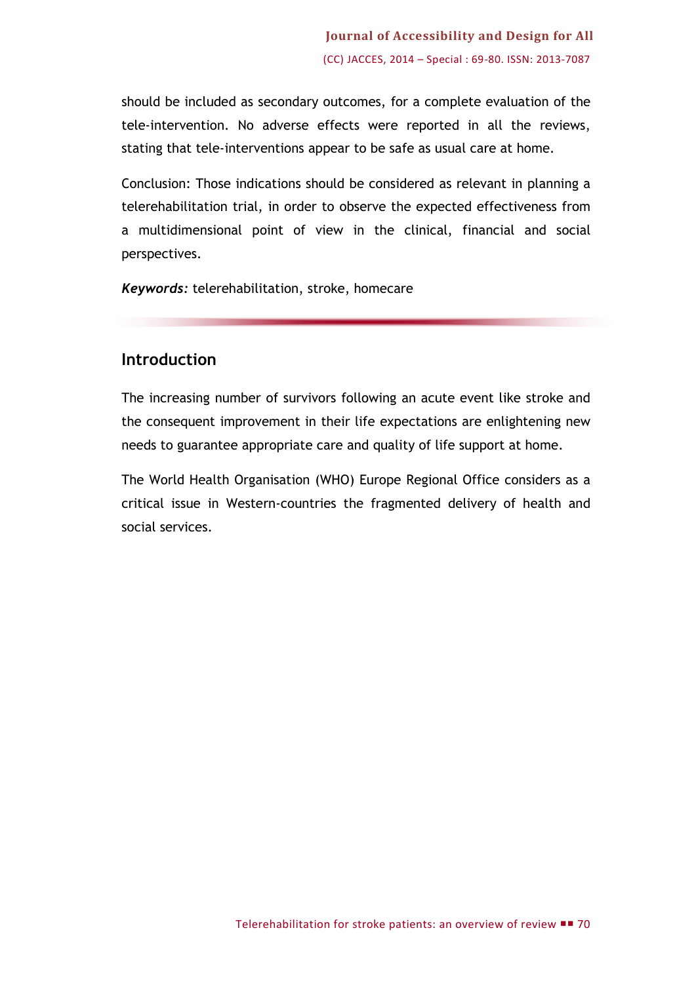should be included as secondary outcomes, for a complete evaluation of the tele-intervention. No adverse effects were reported in all the reviews, stating that tele-interventions appear to be safe as usual care at home.

Conclusion: Those indications should be considered as relevant in planning a telerehabilitation trial, in order to observe the expected effectiveness from a multidimensional point of view in the clinical, financial and social perspectives.

*Keywords:* telerehabilitation, stroke, homecare

# **Introduction**

The increasing number of survivors following an acute event like stroke and the consequent improvement in their life expectations are enlightening new needs to guarantee appropriate care and quality of life support at home.

The World Health Organisation (WHO) Europe Regional Office considers as a critical issue in Western-countries the fragmented delivery of health and social services.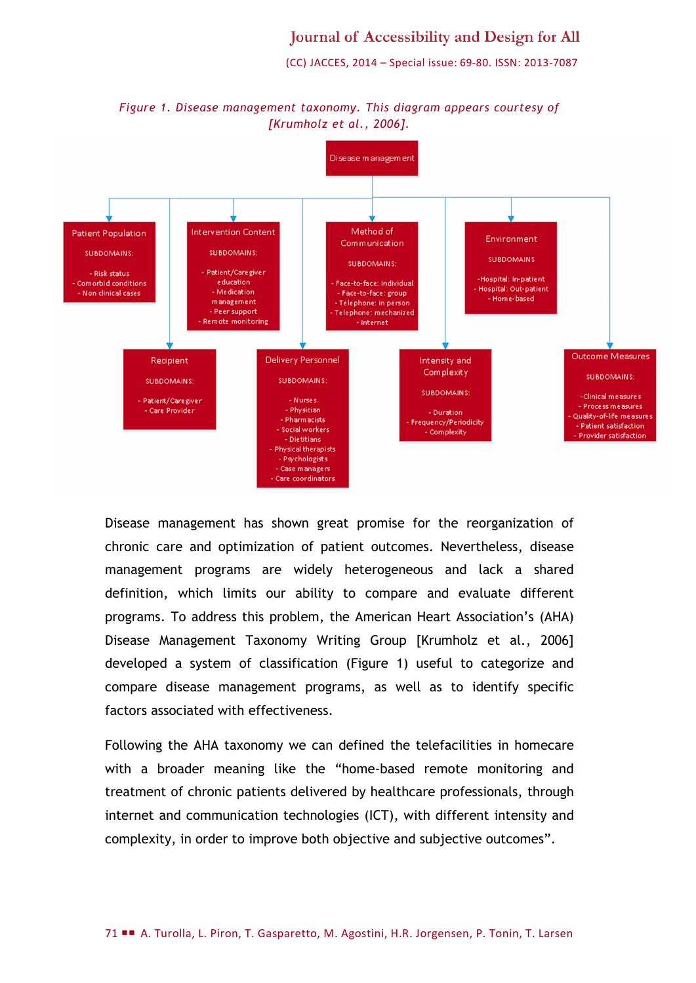# Journal of Accessibility and Design for All

(CC) JACCES, 2014 – Special issue: 69-80. ISSN: 2013-7087



*Figure 1. Disease management taxonomy. This diagram appears courtesy of [Krumholz et al., 2006].*

Disease management has shown great promise for the reorganization of chronic care and optimization of patient outcomes. Nevertheless, disease management programs are widely heterogeneous and lack a shared definition, which limits our ability to compare and evaluate different programs. To address this problem, the American Heart Association's (AHA) Disease Management Taxonomy Writing Group [Krumholz et al., 2006] developed a system of classification (Figure 1) useful to categorize and compare disease management programs, as well as to identify specific factors associated with effectiveness.

Following the AHA taxonomy we can defined the telefacilities in homecare with a broader meaning like the "home-based remote monitoring and treatment of chronic patients delivered by healthcare professionals, through internet and communication technologies (ICT), with different intensity and complexity, in order to improve both objective and subjective outcomes".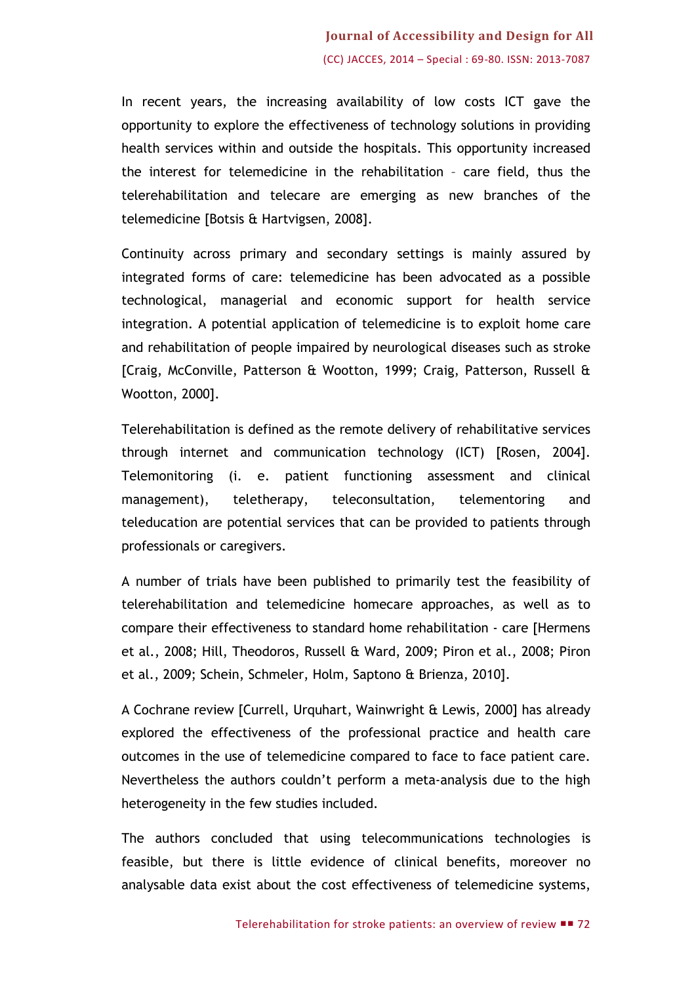# **Journal of Accessibility and Design for All** (CC) JACCES, 2014 – Special : 69-80. ISSN: 2013-7087

In recent years, the increasing availability of low costs ICT gave the opportunity to explore the effectiveness of technology solutions in providing health services within and outside the hospitals. This opportunity increased the interest for telemedicine in the rehabilitation – care field, thus the telerehabilitation and telecare are emerging as new branches of the telemedicine [Botsis & Hartvigsen, 2008].

Continuity across primary and secondary settings is mainly assured by integrated forms of care: telemedicine has been advocated as a possible technological, managerial and economic support for health service integration. A potential application of telemedicine is to exploit home care and rehabilitation of people impaired by neurological diseases such as stroke [Craig, McConville, Patterson & Wootton, 1999; Craig, Patterson, Russell & Wootton, 2000].

Telerehabilitation is defined as the remote delivery of rehabilitative services through internet and communication technology (ICT) [Rosen, 2004]. Telemonitoring (i. e. patient functioning assessment and clinical management), teletherapy, teleconsultation, telementoring and teleducation are potential services that can be provided to patients through professionals or caregivers.

A number of trials have been published to primarily test the feasibility of telerehabilitation and telemedicine homecare approaches, as well as to compare their effectiveness to standard home rehabilitation - care [Hermens et al., 2008; Hill, Theodoros, Russell & Ward, 2009; Piron et al., 2008; Piron et al., 2009; Schein, Schmeler, Holm, Saptono & Brienza, 2010].

A Cochrane review [Currell, Urquhart, Wainwright & Lewis, 2000] has already explored the effectiveness of the professional practice and health care outcomes in the use of telemedicine compared to face to face patient care. Nevertheless the authors couldn't perform a meta-analysis due to the high heterogeneity in the few studies included.

The authors concluded that using telecommunications technologies is feasible, but there is little evidence of clinical benefits, moreover no analysable data exist about the cost effectiveness of telemedicine systems,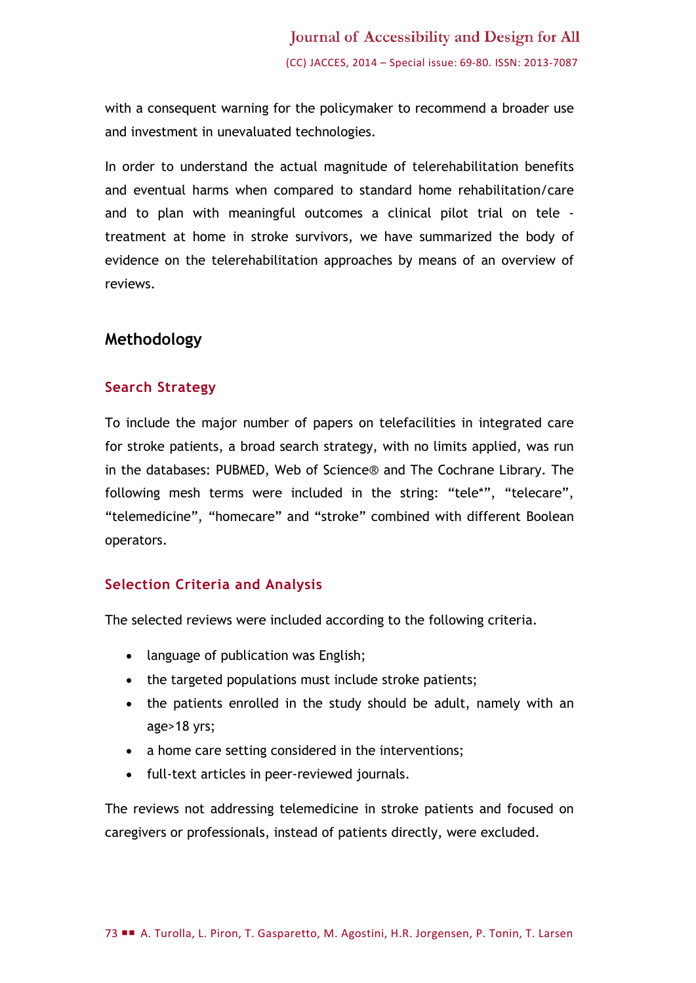with a consequent warning for the policymaker to recommend a broader use and investment in unevaluated technologies.

In order to understand the actual magnitude of telerehabilitation benefits and eventual harms when compared to standard home rehabilitation/care and to plan with meaningful outcomes a clinical pilot trial on tele treatment at home in stroke survivors, we have summarized the body of evidence on the telerehabilitation approaches by means of an overview of reviews.

## **Methodology**

#### **Search Strategy**

To include the major number of papers on telefacilities in integrated care for stroke patients, a broad search strategy, with no limits applied, was run in the databases: PUBMED, Web of Science® and The Cochrane Library. The following mesh terms were included in the string: "tele\*", "telecare", "telemedicine", "homecare" and "stroke" combined with different Boolean operators.

## **Selection Criteria and Analysis**

The selected reviews were included according to the following criteria.

- language of publication was English;
- the targeted populations must include stroke patients;
- the patients enrolled in the study should be adult, namely with an age>18 yrs;
- a home care setting considered in the interventions;
- full-text articles in peer-reviewed journals.

The reviews not addressing telemedicine in stroke patients and focused on caregivers or professionals, instead of patients directly, were excluded.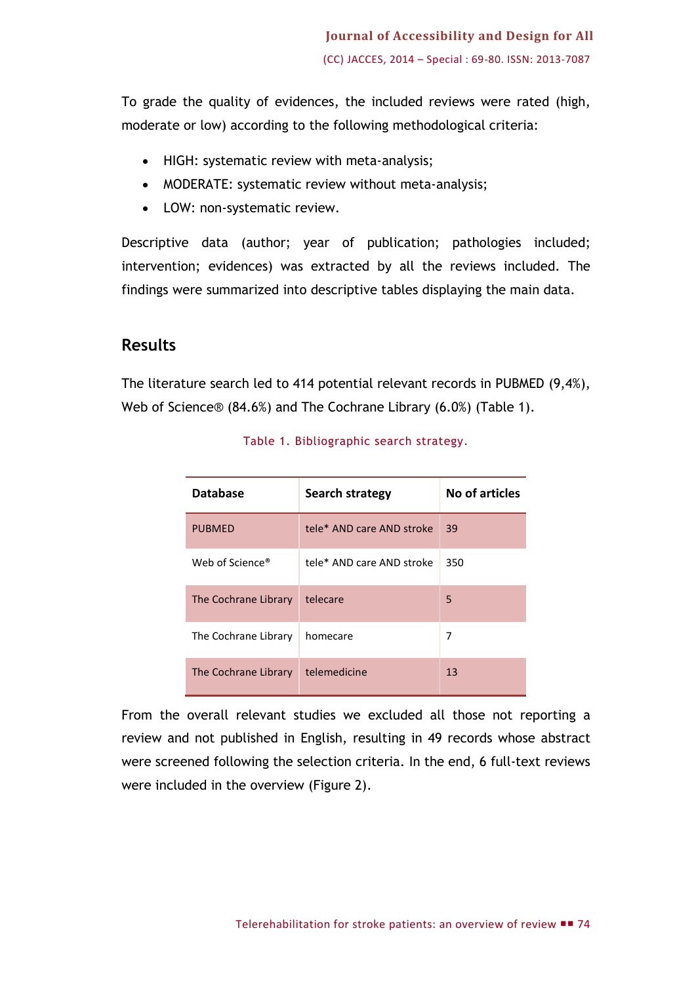To grade the quality of evidences, the included reviews were rated (high, moderate or low) according to the following methodological criteria:

- HIGH: systematic review with meta-analysis;
- MODERATE: systematic review without meta-analysis;
- LOW: non-systematic review.

Descriptive data (author; year of publication; pathologies included; intervention; evidences) was extracted by all the reviews included. The findings were summarized into descriptive tables displaying the main data.

#### **Results**

The literature search led to 414 potential relevant records in PUBMED (9,4%), Web of Science® (84.6%) and The Cochrane Library (6.0%) (Table 1).

| <b>Database</b>             | <b>Search strategy</b>    | No of articles |
|-----------------------------|---------------------------|----------------|
| <b>PUBMED</b>               | tele* AND care AND stroke | 39             |
| Web of Science <sup>®</sup> | tele* AND care AND stroke | 350            |
| The Cochrane Library        | telecare                  | 5              |
| The Cochrane Library        | homecare                  | 7              |
| The Cochrane Library        | telemedicine              | 13             |

Table 1. Bibliographic search strategy.

From the overall relevant studies we excluded all those not reporting a review and not published in English, resulting in 49 records whose abstract were screened following the selection criteria. In the end, 6 full-text reviews were included in the overview (Figure 2).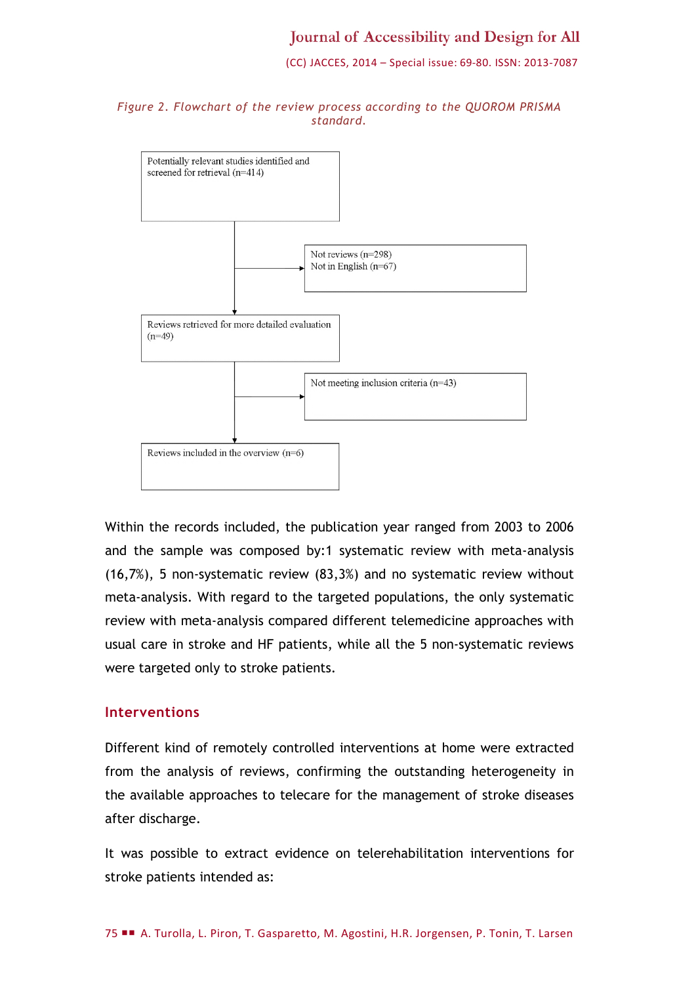(CC) JACCES, 2014 – Special issue: 69-80. ISSN: 2013-7087





Within the records included, the publication year ranged from 2003 to 2006 and the sample was composed by:1 systematic review with meta-analysis (16,7%), 5 non-systematic review (83,3%) and no systematic review without meta-analysis. With regard to the targeted populations, the only systematic review with meta-analysis compared different telemedicine approaches with usual care in stroke and HF patients, while all the 5 non-systematic reviews were targeted only to stroke patients.

#### **Interventions**

Different kind of remotely controlled interventions at home were extracted from the analysis of reviews, confirming the outstanding heterogeneity in the available approaches to telecare for the management of stroke diseases after discharge.

It was possible to extract evidence on telerehabilitation interventions for stroke patients intended as: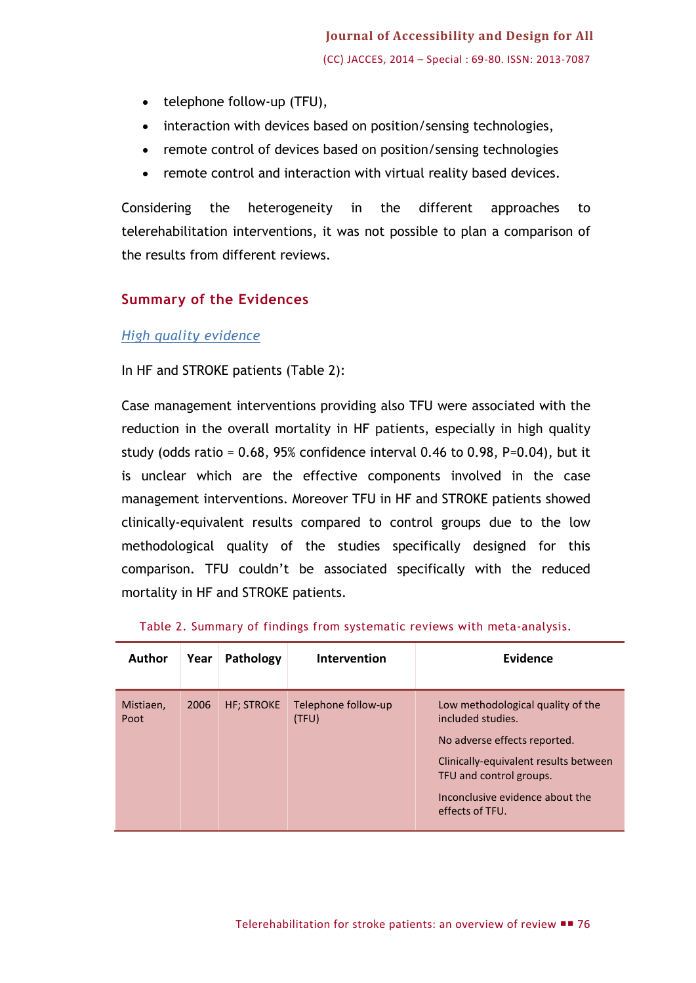- telephone follow-up (TFU),
- interaction with devices based on position/sensing technologies,
- remote control of devices based on position/sensing technologies
- remote control and interaction with virtual reality based devices.

Considering the heterogeneity in the different approaches to telerehabilitation interventions, it was not possible to plan a comparison of the results from different reviews.

#### **Summary of the Evidences**

#### *High quality evidence*

#### In HF and STROKE patients (Table 2):

Case management interventions providing also TFU were associated with the reduction in the overall mortality in HF patients, especially in high quality study (odds ratio =  $0.68$ ,  $95%$  confidence interval 0.46 to 0.98, P=0.04), but it is unclear which are the effective components involved in the case management interventions. Moreover TFU in HF and STROKE patients showed clinically-equivalent results compared to control groups due to the low methodological quality of the studies specifically designed for this comparison. TFU couldn't be associated specifically with the reduced mortality in HF and STROKE patients.

| Author            | Year | Pathology          | Intervention                 | Evidence                                                                                                                                                                                                         |
|-------------------|------|--------------------|------------------------------|------------------------------------------------------------------------------------------------------------------------------------------------------------------------------------------------------------------|
| Mistiaen,<br>Poot | 2006 | <b>HF</b> ; STROKE | Telephone follow-up<br>(TFU) | Low methodological quality of the<br>included studies.<br>No adverse effects reported.<br>Clinically-equivalent results between<br>TFU and control groups.<br>Inconclusive evidence about the<br>effects of TFU. |

|  |  |  | Table 2. Summary of findings from systematic reviews with meta-analysis. |  |  |
|--|--|--|--------------------------------------------------------------------------|--|--|
|  |  |  |                                                                          |  |  |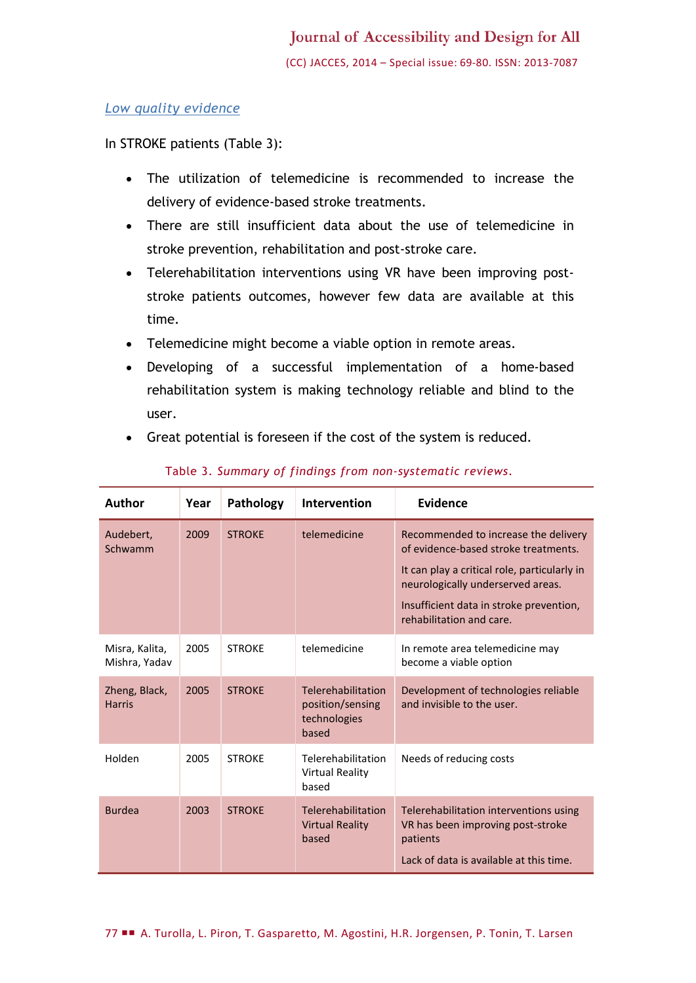#### *Low quality evidence*

In STROKE patients (Table 3):

- The utilization of telemedicine is recommended to increase the delivery of evidence-based stroke treatments.
- There are still insufficient data about the use of telemedicine in stroke prevention, rehabilitation and post-stroke care.
- Telerehabilitation interventions using VR have been improving poststroke patients outcomes, however few data are available at this time.
- Telemedicine might become a viable option in remote areas.
- Developing of a successful implementation of a home-based rehabilitation system is making technology reliable and blind to the user.
- Great potential is foreseen if the cost of the system is reduced.

| Author                          | Year | Pathology     | <b>Intervention</b>                                             | <b>Evidence</b>                                                                                                                                                                                                                          |
|---------------------------------|------|---------------|-----------------------------------------------------------------|------------------------------------------------------------------------------------------------------------------------------------------------------------------------------------------------------------------------------------------|
| Audebert,<br>Schwamm            | 2009 | <b>STROKE</b> | telemedicine                                                    | Recommended to increase the delivery<br>of evidence-based stroke treatments.<br>It can play a critical role, particularly in<br>neurologically underserved areas.<br>Insufficient data in stroke prevention,<br>rehabilitation and care. |
| Misra, Kalita,<br>Mishra, Yadav | 2005 | <b>STROKE</b> | telemedicine                                                    | In remote area telemedicine may<br>become a viable option                                                                                                                                                                                |
| Zheng, Black,<br><b>Harris</b>  | 2005 | <b>STROKE</b> | Telerehabilitation<br>position/sensing<br>technologies<br>based | Development of technologies reliable<br>and invisible to the user.                                                                                                                                                                       |
| Holden                          | 2005 | <b>STROKE</b> | Telerehabilitation<br>Virtual Reality<br>based                  | Needs of reducing costs                                                                                                                                                                                                                  |
| <b>Burdea</b>                   | 2003 | <b>STROKE</b> | Telerehabilitation<br><b>Virtual Reality</b><br>based           | Telerehabilitation interventions using<br>VR has been improving post-stroke<br>patients<br>Lack of data is available at this time.                                                                                                       |

#### Table 3. *Summary of findings from non-systematic reviews.*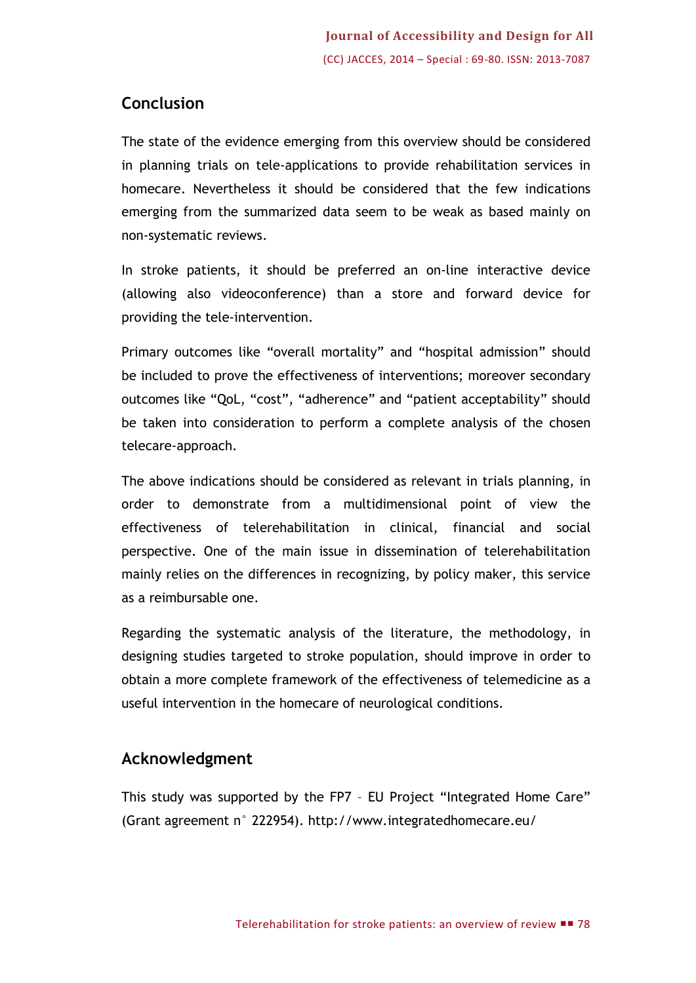# **Conclusion**

The state of the evidence emerging from this overview should be considered in planning trials on tele-applications to provide rehabilitation services in homecare. Nevertheless it should be considered that the few indications emerging from the summarized data seem to be weak as based mainly on non-systematic reviews.

In stroke patients, it should be preferred an on-line interactive device (allowing also videoconference) than a store and forward device for providing the tele-intervention.

Primary outcomes like "overall mortality" and "hospital admission" should be included to prove the effectiveness of interventions; moreover secondary outcomes like "QoL, "cost", "adherence" and "patient acceptability" should be taken into consideration to perform a complete analysis of the chosen telecare-approach.

The above indications should be considered as relevant in trials planning, in order to demonstrate from a multidimensional point of view the effectiveness of telerehabilitation in clinical, financial and social perspective. One of the main issue in dissemination of telerehabilitation mainly relies on the differences in recognizing, by policy maker, this service as a reimbursable one.

Regarding the systematic analysis of the literature, the methodology, in designing studies targeted to stroke population, should improve in order to obtain a more complete framework of the effectiveness of telemedicine as a useful intervention in the homecare of neurological conditions.

# **Acknowledgment**

This study was supported by the FP7 – EU Project "Integrated Home Care" (Grant agreement n° 222954). http://www.integratedhomecare.eu/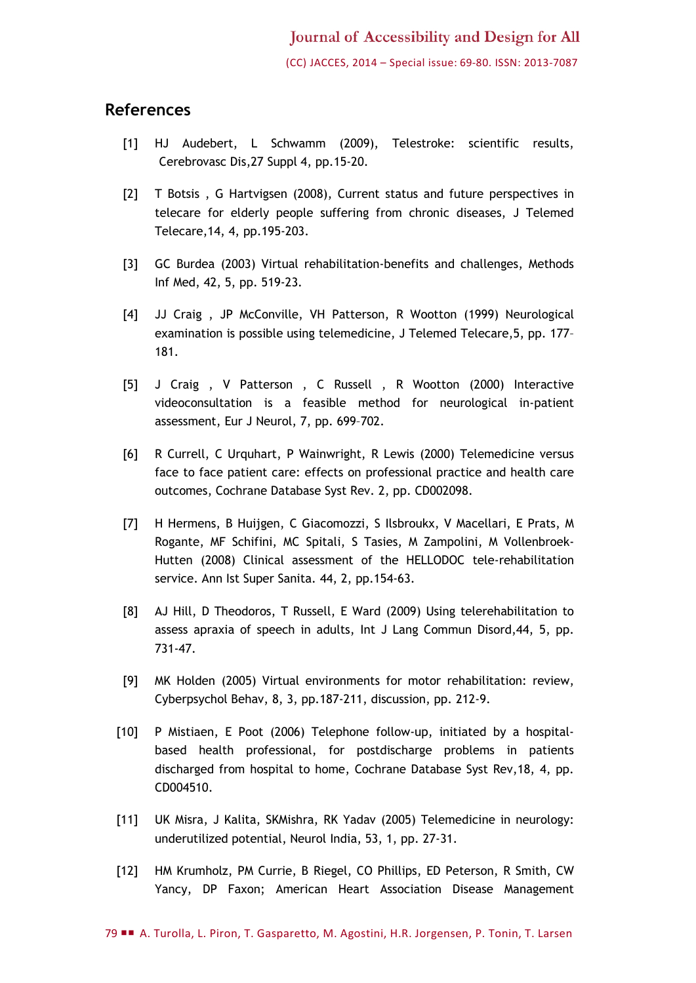#### **References**

- [1] HJ Audebert, L Schwamm (2009), Telestroke: scientific results, Cerebrovasc Dis,27 Suppl 4, pp.15-20.
- [2] T Botsis , G Hartvigsen (2008), Current status and future perspectives in telecare for elderly people suffering from chronic diseases, J Telemed Telecare,14, 4, pp.195-203.
- [3] GC Burdea (2003) Virtual rehabilitation-benefits and challenges, Methods Inf Med, 42, 5, pp. 519-23.
- [4] JJ Craig , JP McConville, VH Patterson, R Wootton (1999) Neurological examination is possible using telemedicine, J Telemed Telecare,5, pp. 177– 181.
- [5] J Craig , V Patterson , C Russell , R Wootton (2000) Interactive videoconsultation is a feasible method for neurological in-patient assessment, Eur J Neurol, 7, pp. 699–702.
- [6] R Currell, C Urquhart, P Wainwright, R Lewis (2000) Telemedicine versus face to face patient care: effects on professional practice and health care outcomes, Cochrane Database Syst Rev. 2, pp. CD002098.
- [7] H Hermens, B Huijgen, C Giacomozzi, S Ilsbroukx, V Macellari, E Prats, M Rogante, MF Schifini, MC Spitali, S Tasies, M Zampolini, M Vollenbroek-Hutten (2008) Clinical assessment of the HELLODOC tele-rehabilitation service. Ann Ist Super Sanita. 44, 2, pp.154-63.
- [8] AJ Hill, D Theodoros, T Russell, E Ward (2009) Using telerehabilitation to assess apraxia of speech in adults, Int J Lang Commun Disord,44, 5, pp. 731-47.
- [9] MK Holden (2005) Virtual environments for motor rehabilitation: review, Cyberpsychol Behav, 8, 3, pp.187-211, discussion, pp. 212-9.
- [10] P Mistiaen, E Poot (2006) Telephone follow-up, initiated by a hospitalbased health professional, for postdischarge problems in patients discharged from hospital to home, Cochrane Database Syst Rev,18, 4, pp. CD004510.
- [11] UK Misra, J Kalita, SKMishra, RK Yadav (2005) Telemedicine in neurology: underutilized potential, Neurol India, 53, 1, pp. 27-31.
- [12] HM Krumholz, PM Currie, B Riegel, CO Phillips, ED Peterson, R Smith, CW Yancy, DP Faxon; American Heart Association Disease Management